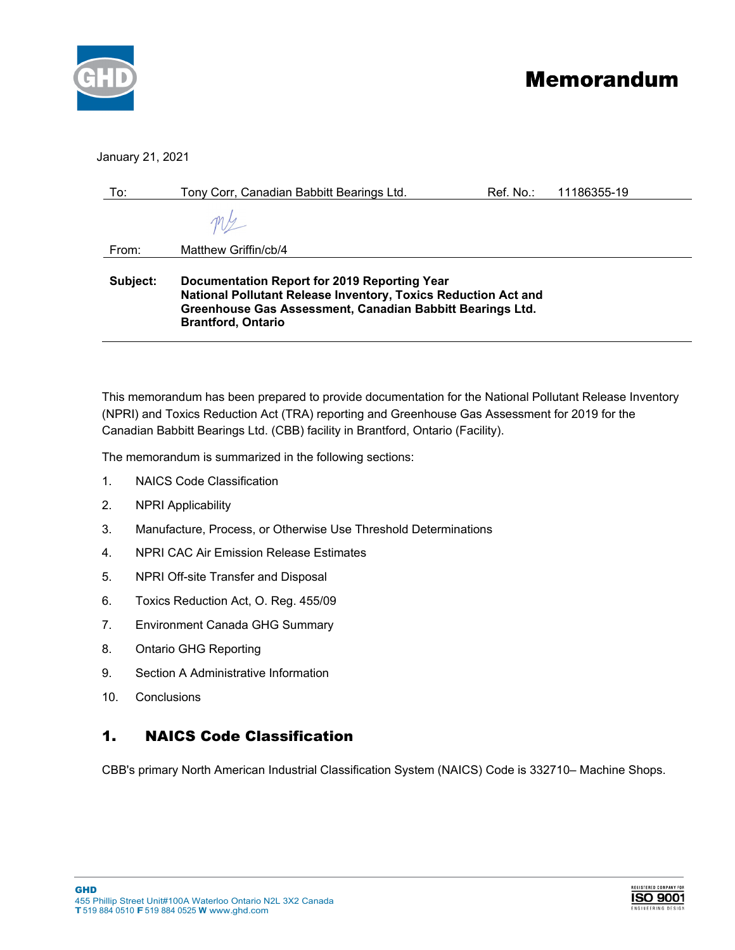

# **Memorandum**

#### January 21, 2021

| To:      | Tony Corr, Canadian Babbitt Bearings Ltd.                                                                                                                                                                | Ref. No.: | 11186355-19 |
|----------|----------------------------------------------------------------------------------------------------------------------------------------------------------------------------------------------------------|-----------|-------------|
|          |                                                                                                                                                                                                          |           |             |
| From:    | Matthew Griffin/cb/4                                                                                                                                                                                     |           |             |
| Subject: | Documentation Report for 2019 Reporting Year<br>National Pollutant Release Inventory, Toxics Reduction Act and<br>Greenhouse Gas Assessment, Canadian Babbitt Bearings Ltd.<br><b>Brantford, Ontario</b> |           |             |

This memorandum has been prepared to provide documentation for the National Pollutant Release Inventory (NPRI) and Toxics Reduction Act (TRA) reporting and Greenhouse Gas Assessment for 2019 for the Canadian Babbitt Bearings Ltd. (CBB) facility in Brantford, Ontario (Facility).

The memorandum is summarized in the following sections:

- 1. NAICS Code Classification
- 2. NPRI Applicability
- 3. Manufacture, Process, or Otherwise Use Threshold Determinations
- 4. NPRI CAC Air Emission Release Estimates
- 5. NPRI Off-site Transfer and Disposal
- 6. Toxics Reduction Act, O. Reg. 455/09
- 7. Environment Canada GHG Summary
- 8. Ontario GHG Reporting
- 9. Section A Administrative Information
- 10. Conclusions

## 1. NAICS Code Classification

CBB's primary North American Industrial Classification System (NAICS) Code is 332710– Machine Shops.

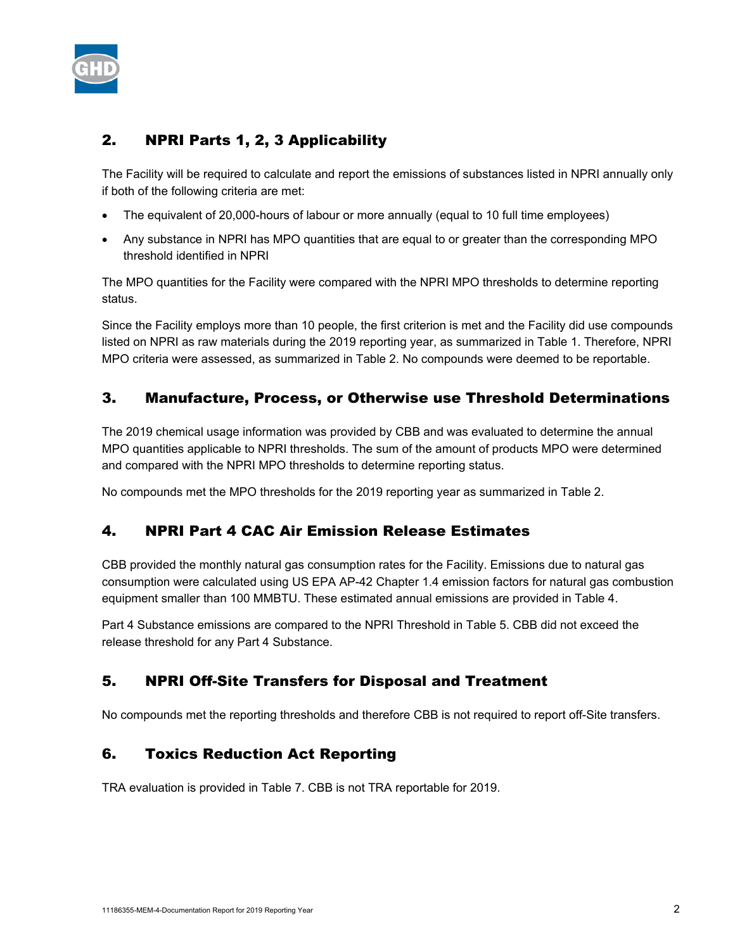

## 2. NPRI Parts 1, 2, 3 Applicability

The Facility will be required to calculate and report the emissions of substances listed in NPRI annually only if both of the following criteria are met:

- The equivalent of 20,000-hours of labour or more annually (equal to 10 full time employees)
- Any substance in NPRI has MPO quantities that are equal to or greater than the corresponding MPO threshold identified in NPRI

The MPO quantities for the Facility were compared with the NPRI MPO thresholds to determine reporting status.

Since the Facility employs more than 10 people, the first criterion is met and the Facility did use compounds listed on NPRI as raw materials during the 2019 reporting year, as summarized in Table 1. Therefore, NPRI MPO criteria were assessed, as summarized in Table 2. No compounds were deemed to be reportable.

## 3. Manufacture, Process, or Otherwise use Threshold Determinations

The 2019 chemical usage information was provided by CBB and was evaluated to determine the annual MPO quantities applicable to NPRI thresholds. The sum of the amount of products MPO were determined and compared with the NPRI MPO thresholds to determine reporting status.

No compounds met the MPO thresholds for the 2019 reporting year as summarized in Table 2.

## 4. NPRI Part 4 CAC Air Emission Release Estimates

CBB provided the monthly natural gas consumption rates for the Facility. Emissions due to natural gas consumption were calculated using US EPA AP-42 Chapter 1.4 emission factors for natural gas combustion equipment smaller than 100 MMBTU. These estimated annual emissions are provided in Table 4.

Part 4 Substance emissions are compared to the NPRI Threshold in Table 5. CBB did not exceed the release threshold for any Part 4 Substance.

## 5. NPRI Off-Site Transfers for Disposal and Treatment

No compounds met the reporting thresholds and therefore CBB is not required to report off-Site transfers.

## 6. Toxics Reduction Act Reporting

TRA evaluation is provided in Table 7. CBB is not TRA reportable for 2019.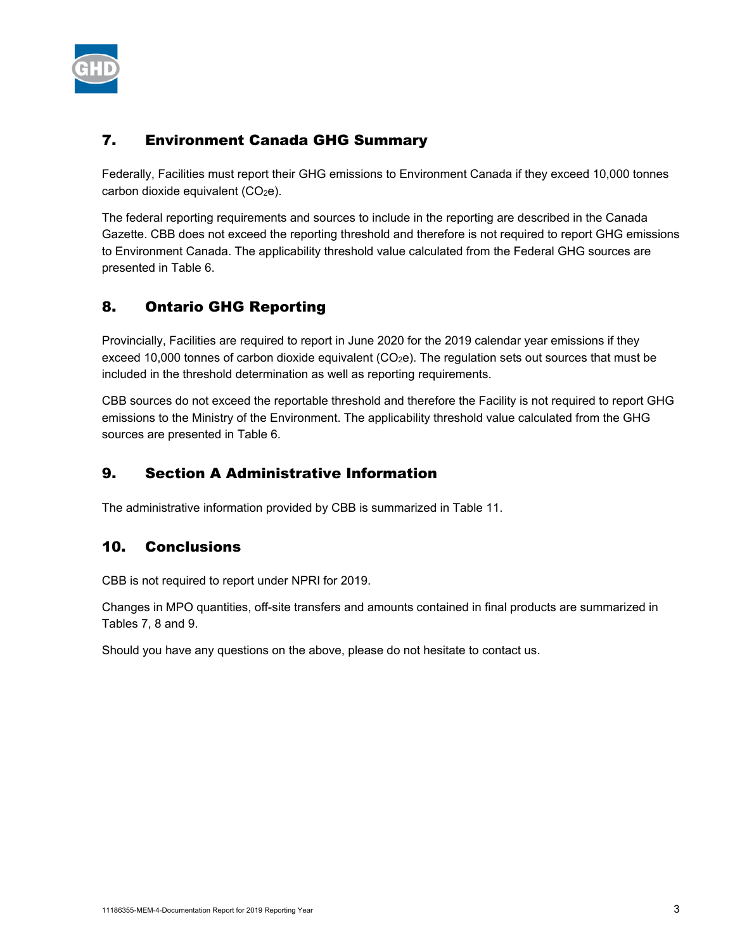

## 7. Environment Canada GHG Summary

Federally, Facilities must report their GHG emissions to Environment Canada if they exceed 10,000 tonnes carbon dioxide equivalent (CO<sub>2</sub>e).

The federal reporting requirements and sources to include in the reporting are described in the Canada Gazette. CBB does not exceed the reporting threshold and therefore is not required to report GHG emissions to Environment Canada. The applicability threshold value calculated from the Federal GHG sources are presented in Table 6.

## 8. Ontario GHG Reporting

Provincially, Facilities are required to report in June 2020 for the 2019 calendar year emissions if they exceed 10,000 tonnes of carbon dioxide equivalent  $(CO<sub>2</sub>e)$ . The regulation sets out sources that must be included in the threshold determination as well as reporting requirements.

CBB sources do not exceed the reportable threshold and therefore the Facility is not required to report GHG emissions to the Ministry of the Environment. The applicability threshold value calculated from the GHG sources are presented in Table 6.

## 9. Section A Administrative Information

The administrative information provided by CBB is summarized in Table 11.

## 10. Conclusions

CBB is not required to report under NPRI for 2019.

Changes in MPO quantities, off-site transfers and amounts contained in final products are summarized in Tables 7, 8 and 9.

Should you have any questions on the above, please do not hesitate to contact us.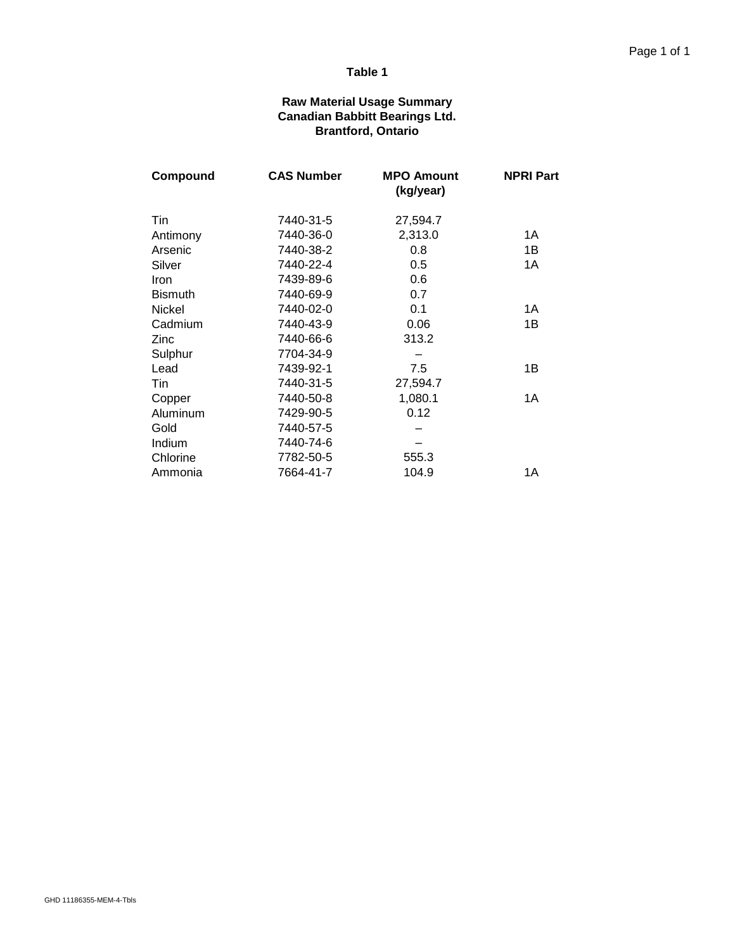#### **Raw Material Usage Summary Canadian Babbitt Bearings Ltd. Brantford, Ontario**

| Compound       | <b>CAS Number</b> | <b>MPO Amount</b><br>(kg/year) | <b>NPRI Part</b> |
|----------------|-------------------|--------------------------------|------------------|
| Tin            | 7440-31-5         | 27,594.7                       |                  |
| Antimony       | 7440-36-0         | 2,313.0                        | 1A               |
| Arsenic        | 7440-38-2         | 0.8                            | 1B               |
| Silver         | 7440-22-4         | 0.5                            | 1A               |
| Iron           | 7439-89-6         | 0.6                            |                  |
| <b>Bismuth</b> | 7440-69-9         | 0.7                            |                  |
| <b>Nickel</b>  | 7440-02-0         | 0.1                            | 1A               |
| Cadmium        | 7440-43-9         | 0.06                           | 1B               |
| Zinc           | 7440-66-6         | 313.2                          |                  |
| Sulphur        | 7704-34-9         |                                |                  |
| Lead           | 7439-92-1         | 7.5                            | 1B               |
| Tin            | 7440-31-5         | 27,594.7                       |                  |
| Copper         | 7440-50-8         | 1,080.1                        | 1A               |
| Aluminum       | 7429-90-5         | 0.12                           |                  |
| Gold           | 7440-57-5         |                                |                  |
| Indium         | 7440-74-6         |                                |                  |
| Chlorine       | 7782-50-5         | 555.3                          |                  |
| Ammonia        | 7664-41-7         | 104.9                          | 1A               |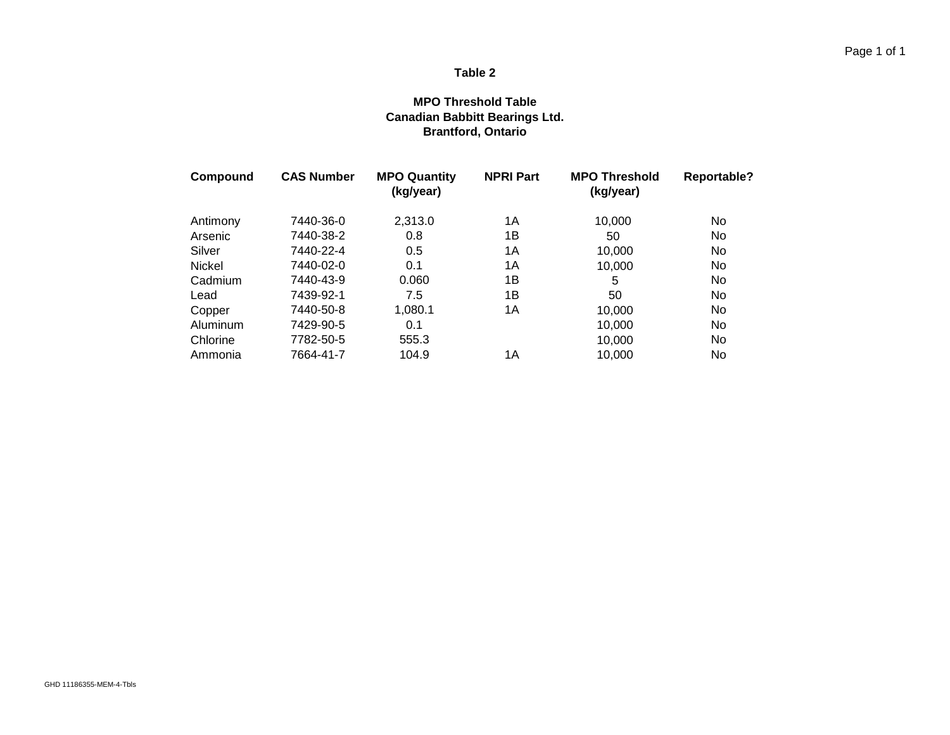#### **MPO Threshold Table Canadian Babbitt Bearings Ltd. Brantford, Ontario**

| Compound      | <b>CAS Number</b> | <b>MPO Quantity</b><br>(kg/year) | <b>NPRI Part</b> | <b>MPO Threshold</b><br>(kg/year) | <b>Reportable?</b> |
|---------------|-------------------|----------------------------------|------------------|-----------------------------------|--------------------|
| Antimony      | 7440-36-0         | 2,313.0                          | 1A               | 10,000                            | No                 |
| Arsenic       | 7440-38-2         | 0.8                              | 1Β               | 50                                | No                 |
| Silver        | 7440-22-4         | 0.5                              | 1Α               | 10,000                            | No                 |
| <b>Nickel</b> | 7440-02-0         | 0.1                              | 1Α               | 10,000                            | No                 |
| Cadmium       | 7440-43-9         | 0.060                            | 1Β               | 5                                 | No                 |
| Lead          | 7439-92-1         | 7.5                              | 1B               | 50                                | No.                |
| Copper        | 7440-50-8         | 1,080.1                          | 1A               | 10,000                            | No                 |
| Aluminum      | 7429-90-5         | 0.1                              |                  | 10,000                            | No                 |
| Chlorine      | 7782-50-5         | 555.3                            |                  | 10,000                            | No                 |
| Ammonia       | 7664-41-7         | 104.9                            | 1Α               | 10,000                            | No                 |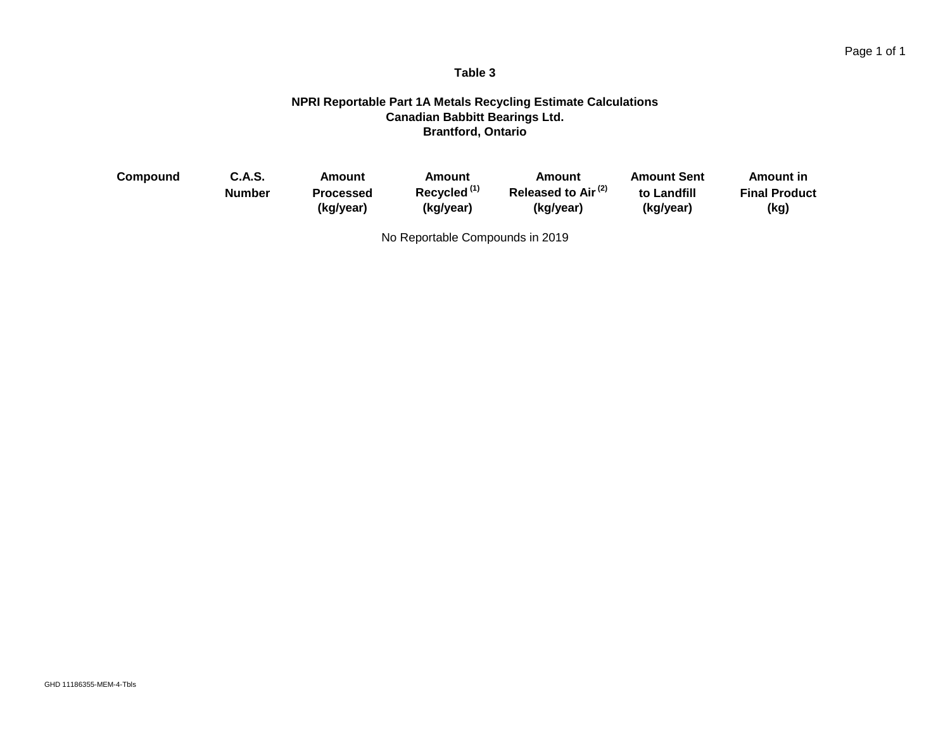#### **NPRI Reportable Part 1A Metals Recycling Estimate Calculations Canadian Babbitt Bearings Ltd. Brantford, Ontario**

| Compound | <b>C.A.S.</b> | Amount           | Amount                  | Amount                         | <b>Amount Sent</b> | Amount in            |
|----------|---------------|------------------|-------------------------|--------------------------------|--------------------|----------------------|
|          | <b>Number</b> | <b>Processed</b> | Recycled <sup>(1)</sup> | Released to Air <sup>(2)</sup> | to Landfill        | <b>Final Product</b> |
|          |               | (kg/year)        | (kg/year)               | (kg/year)                      | (kg/year)          | (kg)                 |

No Reportable Compounds in 2019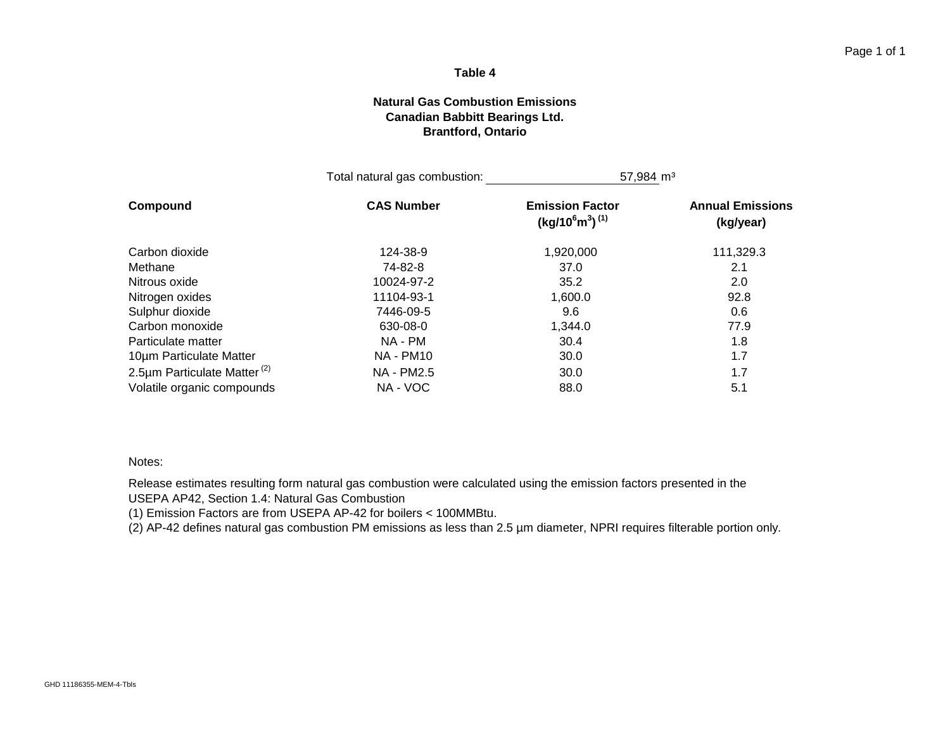#### **Natural Gas Combustion Emissions Canadian Babbitt Bearings Ltd. Brantford, Ontario**

|                                         | Total natural gas combustion: | $57,984 \text{ m}^3$                           |                                      |
|-----------------------------------------|-------------------------------|------------------------------------------------|--------------------------------------|
| Compound                                | <b>CAS Number</b>             | <b>Emission Factor</b><br>$(kg/10^6m^3)^{(1)}$ | <b>Annual Emissions</b><br>(kg/year) |
| Carbon dioxide                          | 124-38-9                      | 1,920,000                                      | 111,329.3                            |
| Methane                                 | 74-82-8                       | 37.0                                           | 2.1                                  |
| Nitrous oxide                           | 10024-97-2                    | 35.2                                           | 2.0                                  |
| Nitrogen oxides                         | 11104-93-1                    | 1,600.0                                        | 92.8                                 |
| Sulphur dioxide                         | 7446-09-5                     | 9.6                                            | 0.6                                  |
| Carbon monoxide                         | 630-08-0                      | 1,344.0                                        | 77.9                                 |
| Particulate matter                      | NA - PM                       | 30.4                                           | 1.8                                  |
| 10um Particulate Matter                 | <b>NA - PM10</b>              | 30.0                                           | 1.7                                  |
| 2.5µm Particulate Matter <sup>(2)</sup> | NA - PM2.5                    | 30.0                                           | 1.7                                  |
| Volatile organic compounds              | NA - VOC                      | 88.0                                           | 5.1                                  |

#### Notes:

Release estimates resulting form natural gas combustion were calculated using the emission factors presented in the USEPA AP42, Section 1.4: Natural Gas Combustion

(1) Emission Factors are from USEPA AP-42 for boilers < 100MMBtu.

(2) AP-42 defines natural gas combustion PM emissions as less than 2.5 µm diameter, NPRI requires filterable portion only.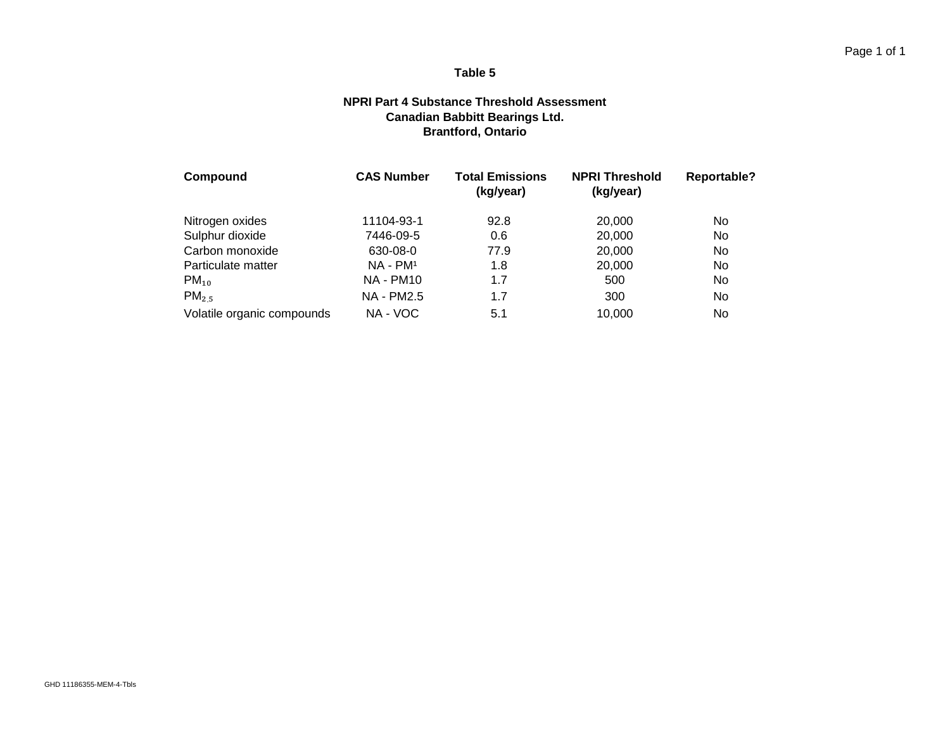#### **NPRI Part 4 Substance Threshold Assessment Canadian Babbitt Bearings Ltd. Brantford, Ontario**

| Compound                   | <b>CAS Number</b> | <b>Total Emissions</b><br>(kg/year) | <b>NPRI Threshold</b><br>(kg/year) | Reportable? |
|----------------------------|-------------------|-------------------------------------|------------------------------------|-------------|
| Nitrogen oxides            | 11104-93-1        | 92.8                                | 20,000                             | No          |
| Sulphur dioxide            | 7446-09-5         | 0.6                                 | 20,000                             | No          |
| Carbon monoxide            | 630-08-0          | 77.9                                | 20,000                             | No          |
| Particulate matter         | $NA - PM1$        | 1.8                                 | 20,000                             | No          |
| $PM_{10}$                  | <b>NA - PM10</b>  | 1.7                                 | 500                                | No          |
| $PM_{2.5}$                 | <b>NA - PM2.5</b> | 1.7                                 | 300                                | No          |
| Volatile organic compounds | NA - VOC          | 5.1                                 | 10,000                             | No          |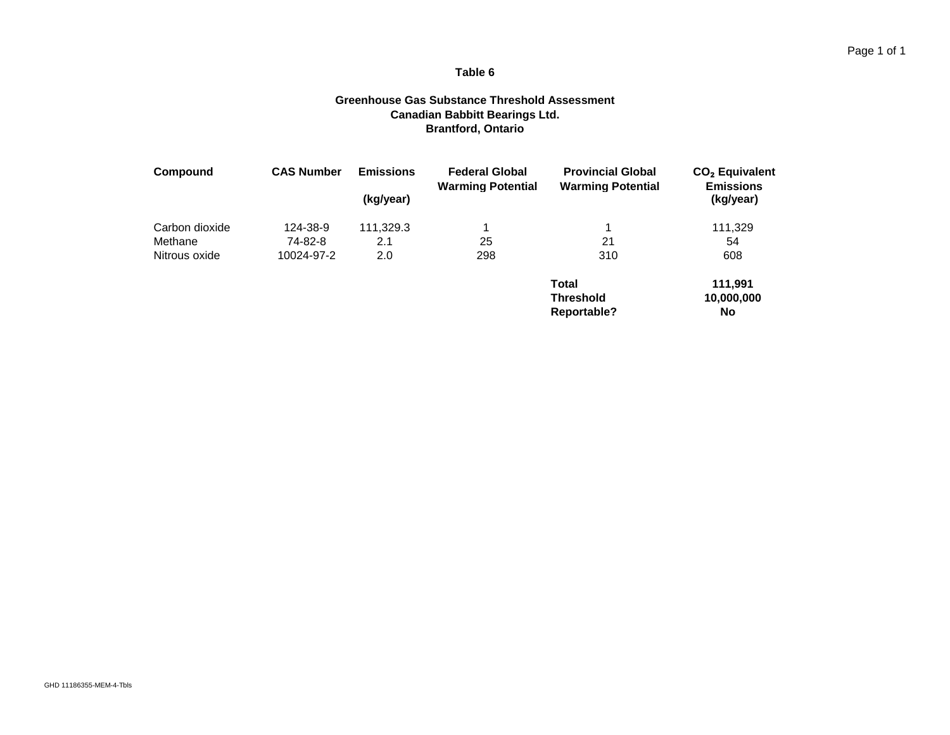#### **Greenhouse Gas Substance Threshold Assessment Canadian Babbitt Bearings Ltd. Brantford, Ontario**

| Compound       | <b>CAS Number</b> | <b>Emissions</b><br>(kg/year) | <b>Federal Global</b><br><b>Warming Potential</b> | <b>Provincial Global</b><br><b>Warming Potential</b> | $CO2$ Equivalent<br><b>Emissions</b><br>(kg/year) |
|----------------|-------------------|-------------------------------|---------------------------------------------------|------------------------------------------------------|---------------------------------------------------|
| Carbon dioxide | 124-38-9          | 111,329.3                     |                                                   |                                                      | 111,329                                           |
| Methane        | 74-82-8           | 2.1                           | 25                                                | 21                                                   | 54                                                |
| Nitrous oxide  | 10024-97-2        | 2.0                           | 298                                               | 310                                                  | 608                                               |
|                |                   |                               |                                                   | <b>Total</b>                                         | 111.991                                           |
|                |                   |                               |                                                   | <b>Threshold</b><br><b>Reportable?</b>               | 10,000,000<br>No                                  |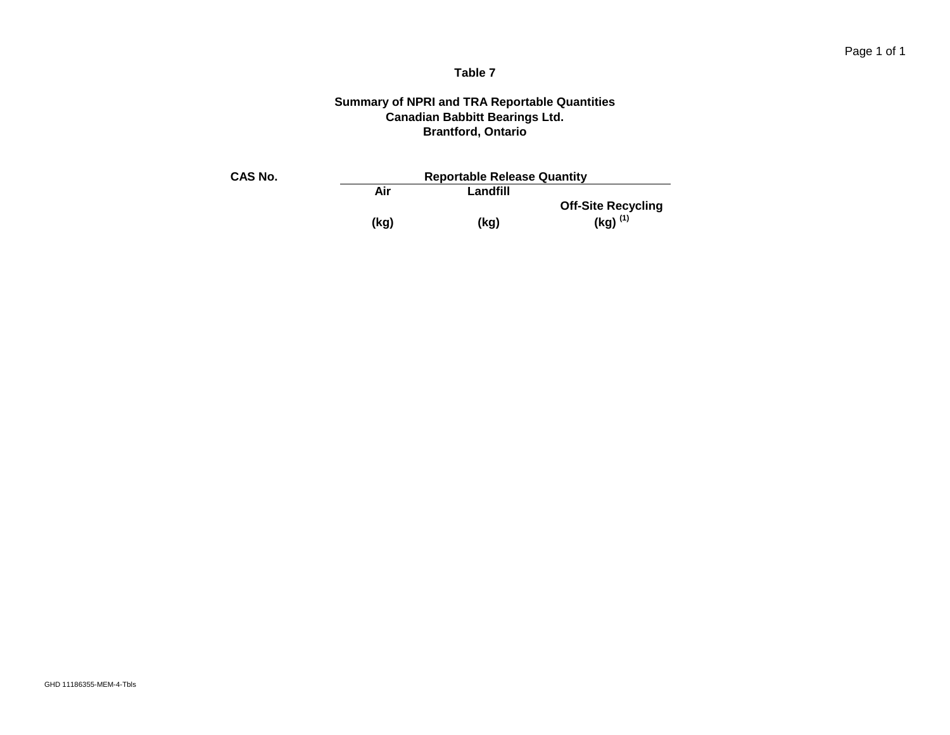#### **Summary of NPRI and TRA Reportable Quantities Canadian Babbitt Bearings Ltd. Brantford, Ontario**

| CAS No. | <b>Reportable Release Quantity</b> |          |                           |  |  |
|---------|------------------------------------|----------|---------------------------|--|--|
|         | Air                                | Landfill |                           |  |  |
|         |                                    |          | <b>Off-Site Recycling</b> |  |  |
|         | (kg)                               | (kg)     | $(Kg)^{(1)}$              |  |  |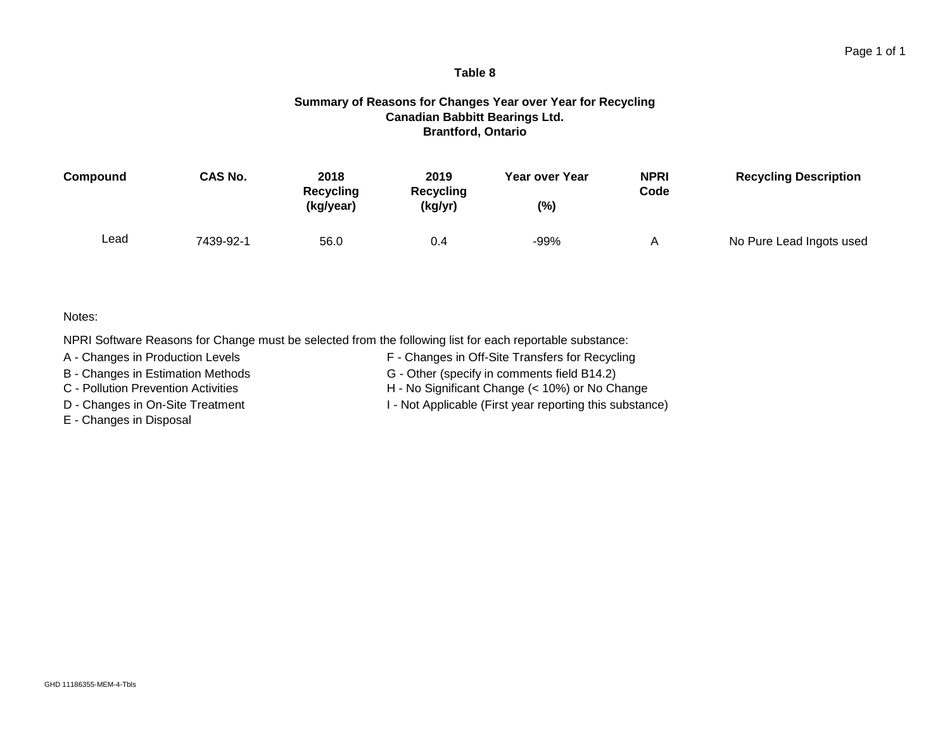#### Page 1 of 1

#### **Table 8**

#### **Summary of Reasons for Changes Year over Year for Recycling Canadian Babbitt Bearings Ltd. Brantford, Ontario**

| Compound | <b>CAS No.</b> | 2018<br>Recycling<br>(kg/year) | 2019<br>Recycling<br>(kg/yr) | Year over Year<br>(%) | <b>NPRI</b><br>Code | <b>Recycling Description</b> |
|----------|----------------|--------------------------------|------------------------------|-----------------------|---------------------|------------------------------|
| Lead     | 7439-92-1      | 56.0                           | 0.4                          | $-99%$                |                     | No Pure Lead Ingots used     |

#### Notes:

NPRI Software Reasons for Change must be selected from the following list for each reportable substance:

A - Changes in Production Levels F - Changes in Off-Site Transfers for Recycling

B - Changes in Estimation Methods G - Other (specify in comments field B14.2)

E - Changes in Disposal

C - Pollution Prevention Activities H - No Significant Change (< 10%) or No Change

D - Changes in On-Site Treatment I - Not Applicable (First year reporting this substance)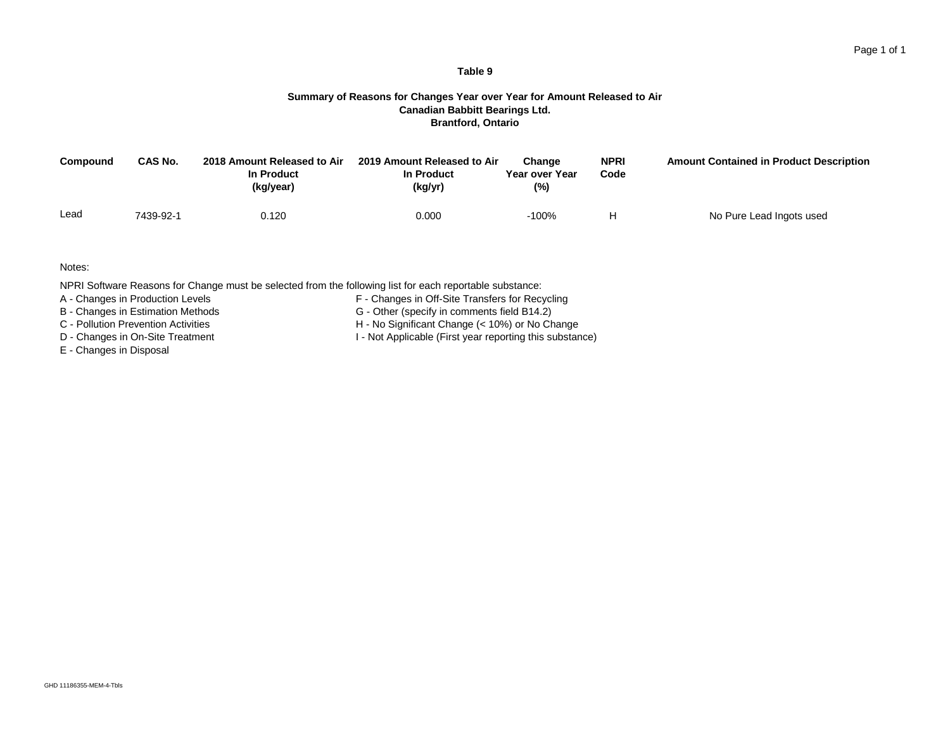### Page 1 of 1

#### **Table 9**

#### **Summary of Reasons for Changes Year over Year for Amount Released to Air Canadian Babbitt Bearings Ltd. Brantford, Ontario**

| Compound | <b>CAS No.</b> | 2018 Amount Released to Air<br>In Product<br>(kg/year) | 2019 Amount Released to Air<br>In Product<br>(kg/yr) | Change<br>Year over Year<br>(%) | <b>NPRI</b><br>Code | <b>Amount Contained in Product Description</b> |
|----------|----------------|--------------------------------------------------------|------------------------------------------------------|---------------------------------|---------------------|------------------------------------------------|
| Lead     | 7439-92-1      | 0.120                                                  | 0.000                                                | $-100%$                         |                     | No Pure Lead Ingots used                       |

Notes:

NPRI Software Reasons for Change must be selected from the following list for each reportable substance:

A - Changes in Production Levels **F** - Changes in Off-Site Transfers for Recycling

- 
- 
- 
- E Changes in Disposal
- 
- B Changes in Estimation Methods<br>
C Pollution Prevention Activities<br>
G Other (specify in comments field B14.2)<br>
H No Significant Change (< 10%) or No Ch
- C Pollution Prevention Activities H No Significant Change (< 10%) or No Change<br>D Changes in On-Site Treatment<br>H Not Applicable (First year reporting this substant I - Not Applicable (First year reporting this substance)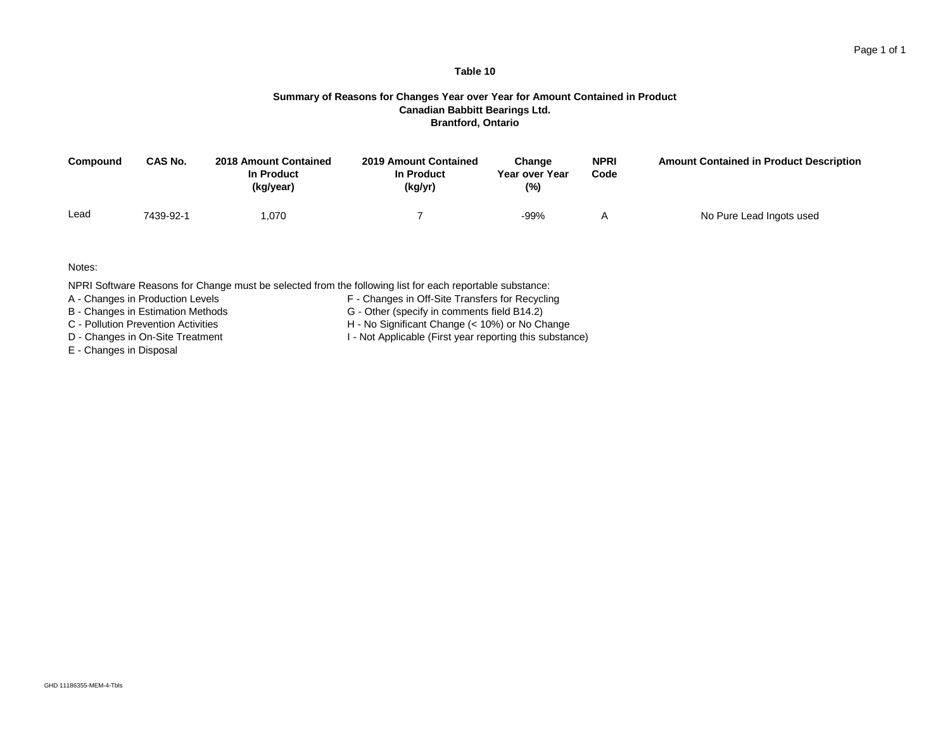#### **Summary of Reasons for Changes Year over Year for Amount Contained in Product Canadian Babbitt Bearings Ltd. Brantford, Ontario**

**Table 10**

| Compound | CAS No.   | <b>2018 Amount Contained</b><br>In Product<br>(kg/year) | <b>2019 Amount Contained</b><br>In Product<br>(kg/yr) | Change<br>Year over Year<br>(%) | <b>NPRI</b><br>Code | <b>Amount Contained in Product Description</b> |
|----------|-----------|---------------------------------------------------------|-------------------------------------------------------|---------------------------------|---------------------|------------------------------------------------|
| Lead     | 7439-92-1 | .070                                                    |                                                       | -99%                            |                     | No Pure Lead Ingots used                       |

Notes:

NPRI Software Reasons for Change must be selected from the following list for each reportable substance:

A - Changes in Production Levels **F** - Changes in Off-Site Transfers for Recycling

- 
- 
- 
- E Changes in Disposal
- 
- B Changes in Estimation Methods<br>
C Pollution Prevention Activities<br>
G Other (specify in comments field B14.2)<br>
H No Significant Change (< 10%) or No Ch
- C Pollution Prevention Activities H No Significant Change (< 10%) or No Change<br>D Changes in On-Site Treatment H Not Applicable (First year reporting this substant
	- I Not Applicable (First year reporting this substance)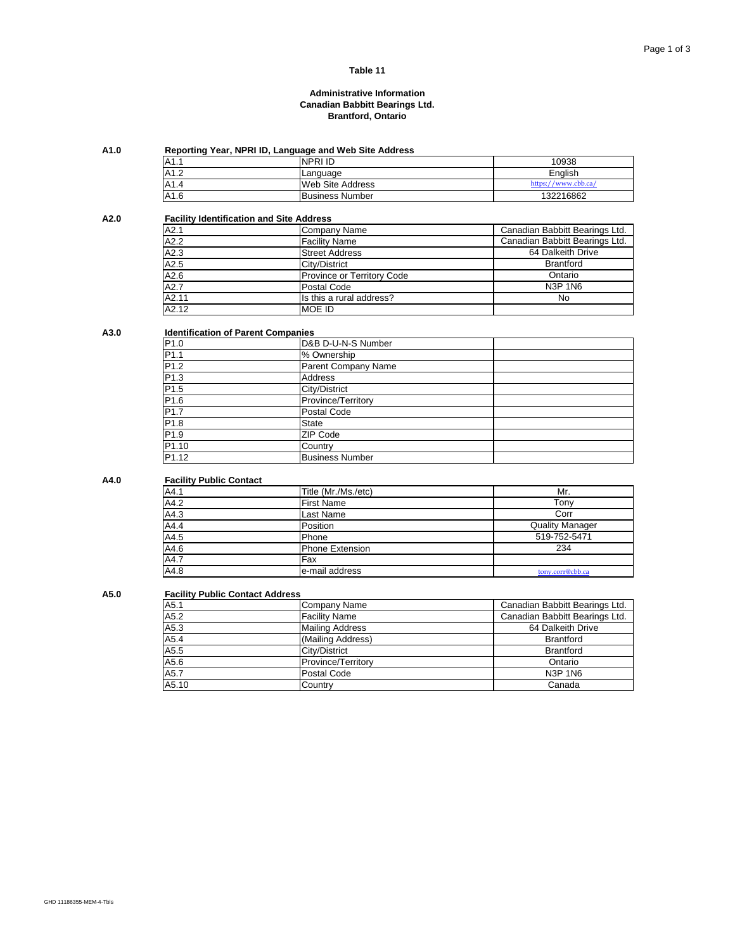#### **Administrative Information Canadian Babbitt Bearings Ltd. Brantford, Ontario**

### **A1.0 Reporting Year, NPRI ID, Language and Web Site Address**

| A1.1  | <b>INPRI ID</b>         | 10938                   |
|-------|-------------------------|-------------------------|
| A1.2  | Language                | English                 |
| IA1.4 | <b>Web Site Address</b> | https:/<br>/www.cbb.ca/ |
| A1.6  | <b>Business Number</b>  | 132216862               |

#### **A2.0 Facility Identification and Site Address**

| A2.1              | Company Name               | Canadian Babbitt Bearings Ltd. |
|-------------------|----------------------------|--------------------------------|
| A2.2              | <b>Facility Name</b>       | Canadian Babbitt Bearings Ltd. |
| A2.3              | <b>Street Address</b>      | 64 Dalkeith Drive              |
| A2.5              | City/District              | <b>Brantford</b>               |
| $\overline{A2.6}$ | Province or Territory Code | Ontario                        |
| A2.7              | Postal Code                | <b>N3P 1N6</b>                 |
| A2.11             | Is this a rural address?   | <b>No</b>                      |
| A2.12             | <b>MOE ID</b>              |                                |

#### **A3.0 Identification of Parent Companies**

| P <sub>1.0</sub>  | D&B D-U-N-S Number     |  |
|-------------------|------------------------|--|
| P <sub>1.1</sub>  | % Ownership            |  |
| P1.2              | Parent Company Name    |  |
| P <sub>1.3</sub>  | <b>Address</b>         |  |
| P1.5              | City/District          |  |
| P1.6              | Province/Territory     |  |
| P <sub>1.7</sub>  | Postal Code            |  |
| P1.8              | <b>State</b>           |  |
| P <sub>1.9</sub>  | <b>ZIP Code</b>        |  |
| P <sub>1.10</sub> | Country                |  |
| P <sub>1.12</sub> | <b>Business Number</b> |  |

#### **A4.0 Facility Public Contact**

| A4.1              | Title (Mr./Ms./etc)    | Mr.                    |
|-------------------|------------------------|------------------------|
| A4.2              | <b>First Name</b>      | Tonv                   |
| A4.3              | Last Name              | Corr                   |
| A4.4              | Position               | <b>Quality Manager</b> |
| A4.5              | Phone                  | 519-752-5471           |
| A4.6              | <b>Phone Extension</b> | 234                    |
| $\overline{A4.7}$ | Fax                    |                        |
| A4.8              | e-mail address         | tony.corr@cbb.ca       |

#### **A5.0 Facility Public Contact Address**

| A5.1              | Company Name           | Canadian Babbitt Bearings Ltd. |
|-------------------|------------------------|--------------------------------|
| A5.2              | <b>Facility Name</b>   | Canadian Babbitt Bearings Ltd. |
| A5.3              | <b>Mailing Address</b> | 64 Dalkeith Drive              |
| A5.4              | (Mailing Address)      | <b>Brantford</b>               |
| A5.5              | City/District          | <b>Brantford</b>               |
| A5.6              | Province/Territory     | Ontario                        |
| $\overline{A5.7}$ | Postal Code            | <b>N3P 1N6</b>                 |
| A5.10             | Country                | Canada                         |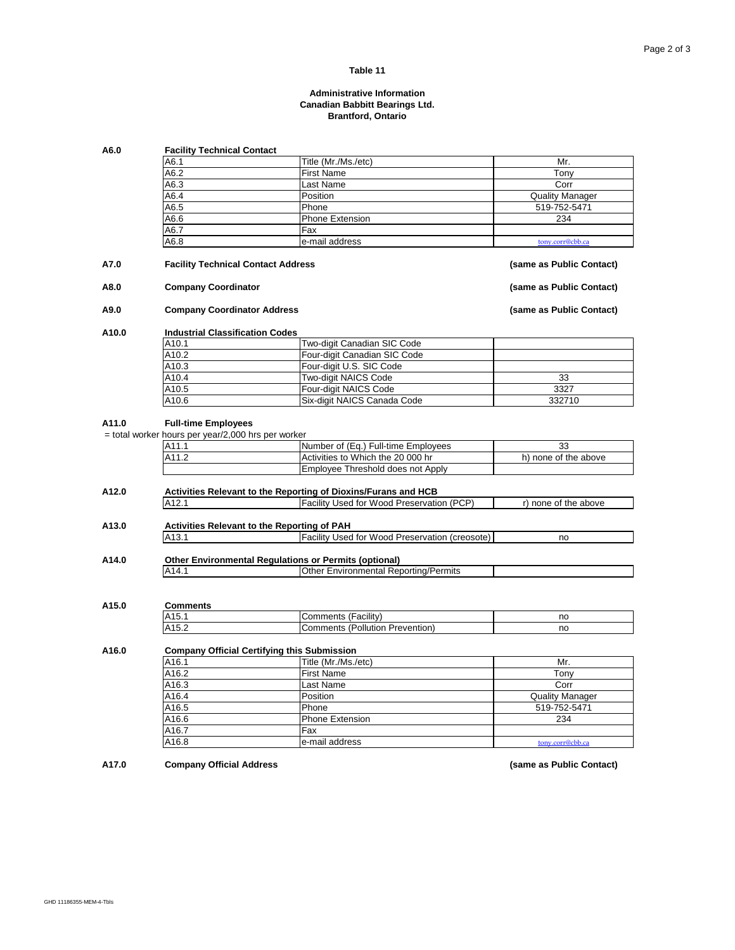### **Administrative Information Canadian Babbitt Bearings Ltd. Brantford, Ontario**

| A6.0  | <b>Facility Technical Contact</b>                                                         |                                                                |                          |  |
|-------|-------------------------------------------------------------------------------------------|----------------------------------------------------------------|--------------------------|--|
|       | A6.1                                                                                      | Title (Mr./Ms./etc)                                            | Mr.                      |  |
|       | A6.2                                                                                      | <b>First Name</b>                                              | Tony                     |  |
|       | A6.3                                                                                      | Last Name                                                      | Corr                     |  |
|       | A6.4                                                                                      | Position                                                       | <b>Quality Manager</b>   |  |
|       | A6.5                                                                                      | Phone                                                          | 519-752-5471             |  |
|       | A6.6                                                                                      | <b>Phone Extension</b>                                         | 234                      |  |
|       | A6.7                                                                                      | Fax                                                            |                          |  |
|       | A6.8                                                                                      | e-mail address                                                 | tony.corr@cbb.ca         |  |
|       |                                                                                           |                                                                |                          |  |
| A7.0  | <b>Facility Technical Contact Address</b>                                                 |                                                                | (same as Public Contact) |  |
| A8.0  |                                                                                           | <b>Company Coordinator</b>                                     |                          |  |
| A9.0  |                                                                                           | <b>Company Coordinator Address</b>                             |                          |  |
| A10.0 | <b>Industrial Classification Codes</b>                                                    |                                                                |                          |  |
|       | A10.1                                                                                     | Two-digit Canadian SIC Code                                    |                          |  |
|       | A10.2                                                                                     | Four-digit Canadian SIC Code                                   |                          |  |
|       | A10.3                                                                                     | Four-digit U.S. SIC Code                                       |                          |  |
|       | A10.4                                                                                     | Two-digit NAICS Code                                           | 33                       |  |
|       | A10.5                                                                                     | Four-digit NAICS Code                                          | 3327                     |  |
|       | A10.6                                                                                     | Six-digit NAICS Canada Code                                    | 332710                   |  |
|       | <b>Full-time Employees</b><br>= total worker hours per year/2,000 hrs per worker<br>A11.1 | Number of (Eq.) Full-time Employees                            | 33                       |  |
|       | A11.2                                                                                     | Activities to Which the 20 000 hr                              | h) none of the above     |  |
|       |                                                                                           | Employee Threshold does not Apply                              |                          |  |
| A12.0 |                                                                                           | Activities Relevant to the Reporting of Dioxins/Furans and HCB |                          |  |
|       | A12.1                                                                                     | Facility Used for Wood Preservation (PCP)                      | r) none of the above     |  |
| A13.0 |                                                                                           | <b>Activities Relevant to the Reporting of PAH</b>             |                          |  |
|       | A <sub>13.1</sub>                                                                         | <b>Facility Used for Wood Preservation (creosote)</b>          | no                       |  |
| A14.0 |                                                                                           | <b>Other Environmental Regulations or Permits (optional)</b>   |                          |  |
|       | A14.1                                                                                     | Other Environmental Reporting/Permits                          |                          |  |
|       |                                                                                           |                                                                |                          |  |
| A15.0 | <b>Comments</b>                                                                           |                                                                |                          |  |
|       | A15.1                                                                                     | <b>Comments (Facility)</b>                                     | no                       |  |
|       | A15.2                                                                                     | <b>Comments (Pollution Prevention)</b>                         | no                       |  |
| A16.0 |                                                                                           | <b>Company Official Certifying this Submission</b>             |                          |  |
|       | A16.1                                                                                     | Title (Mr./Ms./etc)                                            | Mr.                      |  |
|       | A16.2                                                                                     | <b>First Name</b>                                              | Tony                     |  |
|       | A16.3                                                                                     | Last Name                                                      | Corr                     |  |
|       | A16.4                                                                                     | Position                                                       | <b>Quality Manager</b>   |  |
|       | A16.5                                                                                     | Phone                                                          | 519-752-5471             |  |
|       |                                                                                           | Phone Extension                                                |                          |  |
|       | A16.6                                                                                     |                                                                | 234                      |  |
|       |                                                                                           |                                                                |                          |  |
|       | A16.7<br>A16.8                                                                            | Fax<br>e-mail address                                          | tony.corr@cbb.ca         |  |

**A17.0 Company Official Address (same as Public Contact)**